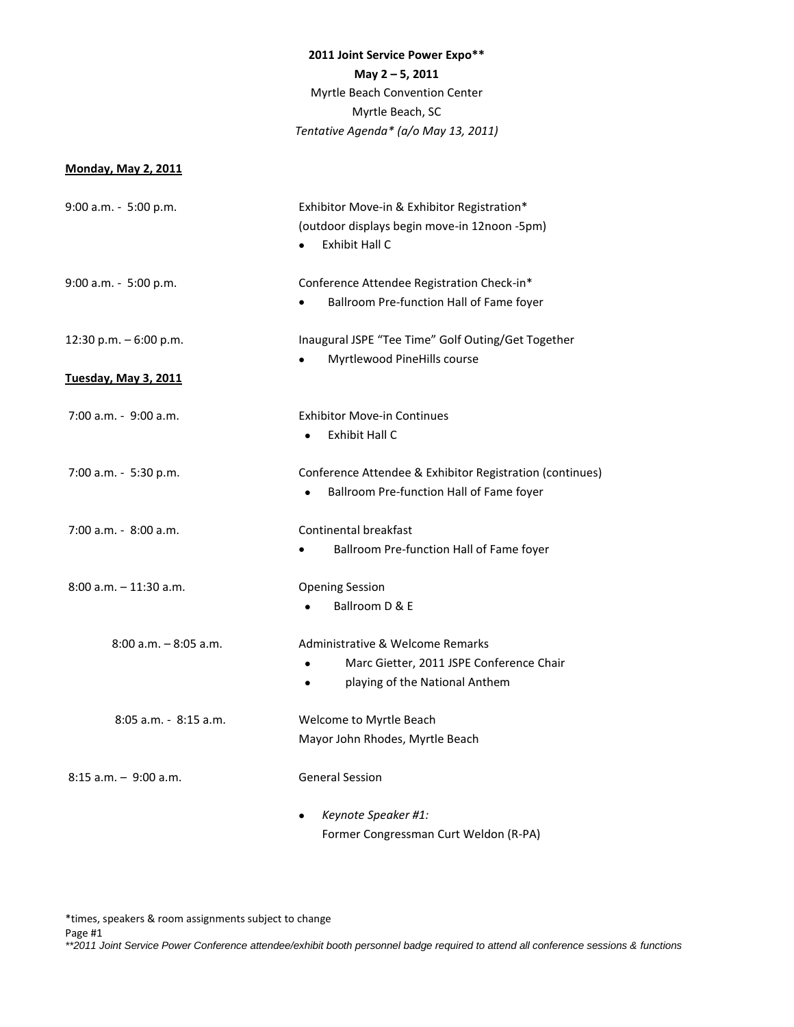# **2011 Joint Service Power Expo\*\***

## **May 2 – 5, 2011**

Myrtle Beach Convention Center Myrtle Beach, SC *Tentative Agenda\* (a/o May 13, 2011)*

### **Monday, May 2, 2011**

| Exhibitor Move-in & Exhibitor Registration*              |
|----------------------------------------------------------|
| (outdoor displays begin move-in 12noon -5pm)             |
| Exhibit Hall C                                           |
|                                                          |
| Conference Attendee Registration Check-in*               |
| Ballroom Pre-function Hall of Fame foyer                 |
| Inaugural JSPE "Tee Time" Golf Outing/Get Together       |
| Myrtlewood PineHills course<br>$\bullet$                 |
|                                                          |
| <b>Exhibitor Move-in Continues</b>                       |
| <b>Exhibit Hall C</b><br>$\bullet$                       |
| Conference Attendee & Exhibitor Registration (continues) |
| Ballroom Pre-function Hall of Fame foyer                 |
|                                                          |
| Continental breakfast                                    |
| Ballroom Pre-function Hall of Fame foyer                 |
| <b>Opening Session</b>                                   |
| Ballroom D & E                                           |
| Administrative & Welcome Remarks                         |
| Marc Gietter, 2011 JSPE Conference Chair                 |
| playing of the National Anthem                           |
| Welcome to Myrtle Beach                                  |
| Mayor John Rhodes, Myrtle Beach                          |
| <b>General Session</b>                                   |
| Keynote Speaker #1:                                      |
| Former Congressman Curt Weldon (R-PA)                    |
|                                                          |

\*times, speakers & room assignments subject to change

Page #1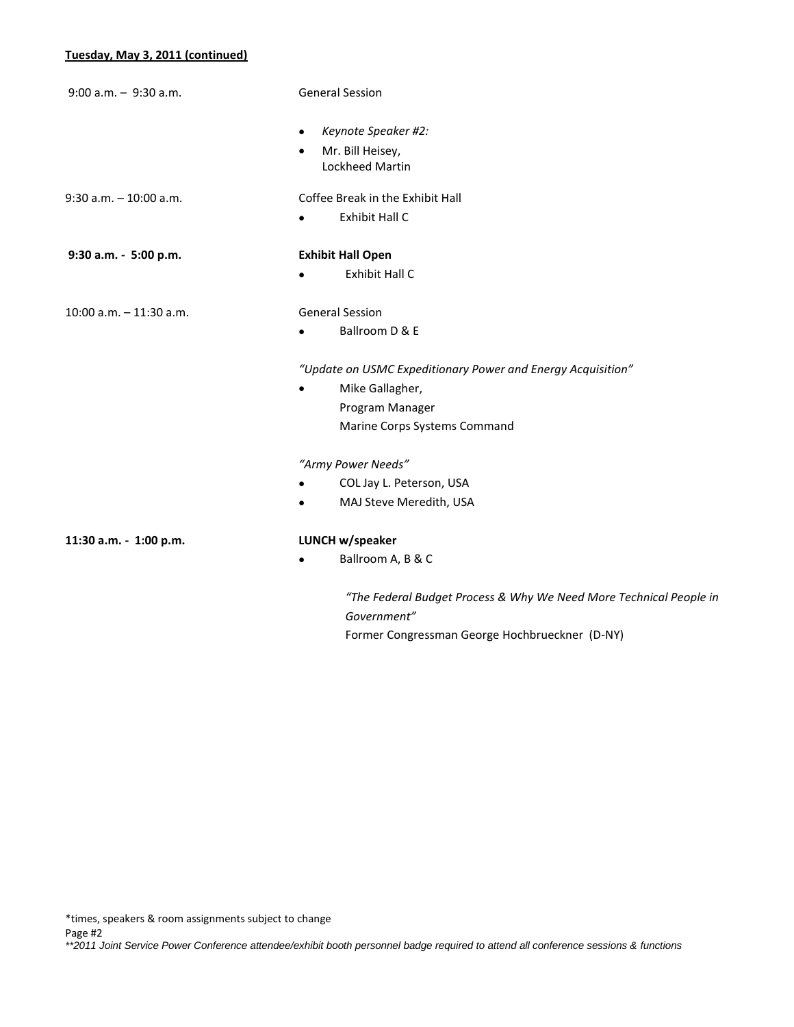## **Tuesday, May 3, 2011 (continued)**

| $9:00$ a.m. - $9:30$ a.m.  | <b>General Session</b>                                                            |
|----------------------------|-----------------------------------------------------------------------------------|
|                            | Keynote Speaker #2:<br>$\bullet$                                                  |
|                            | Mr. Bill Heisey,<br>$\bullet$<br>Lockheed Martin                                  |
| $9:30$ a.m. $-10:00$ a.m.  | Coffee Break in the Exhibit Hall                                                  |
|                            | Exhibit Hall C<br>$\bullet$                                                       |
| 9:30 a.m. - 5:00 p.m.      | <b>Exhibit Hall Open</b>                                                          |
|                            | Exhibit Hall C<br>$\bullet$                                                       |
| $10:00$ a.m. $-11:30$ a.m. | <b>General Session</b>                                                            |
|                            | Ballroom D & E<br>$\bullet$                                                       |
|                            | "Update on USMC Expeditionary Power and Energy Acquisition"                       |
|                            | Mike Gallagher,                                                                   |
|                            | Program Manager                                                                   |
|                            | Marine Corps Systems Command                                                      |
|                            | "Army Power Needs"                                                                |
|                            | COL Jay L. Peterson, USA                                                          |
|                            | MAJ Steve Meredith, USA                                                           |
| 11:30 a.m. - 1:00 p.m.     | LUNCH w/speaker                                                                   |
|                            | Ballroom A, B & C                                                                 |
|                            | "The Federal Budget Process & Why We Need More Technical People in<br>Government" |

Former Congressman George Hochbrueckner (D-NY)

\*times, speakers & room assignments subject to change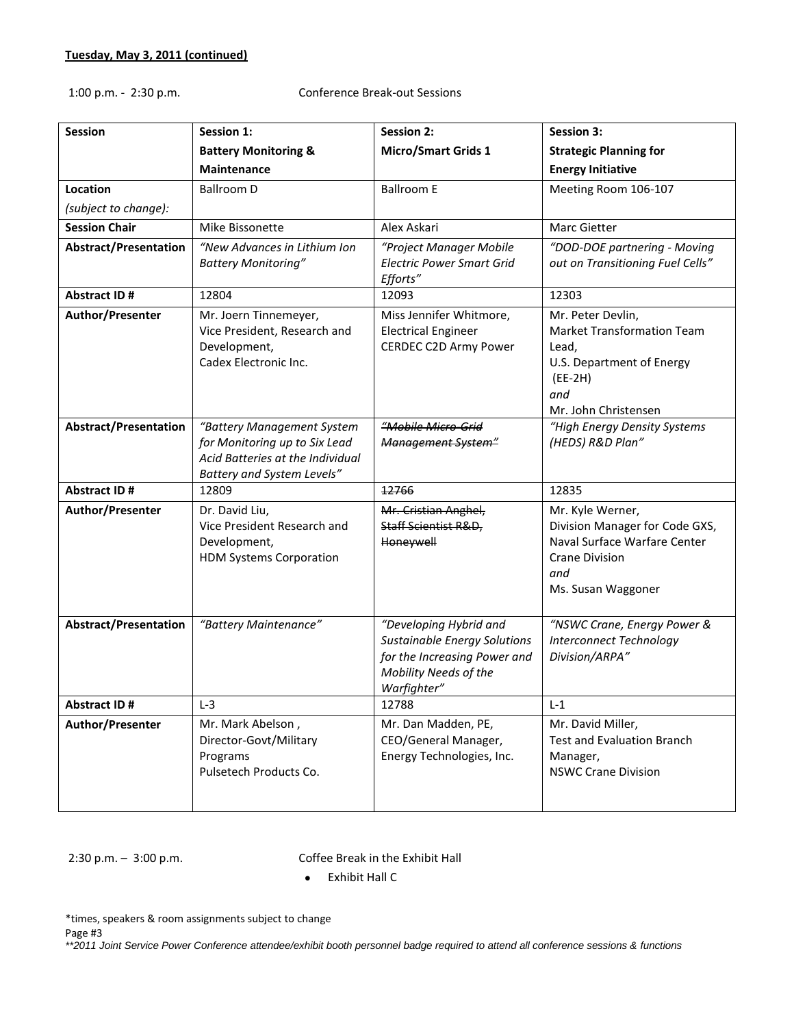## 1:00 p.m. - 2:30 p.m. Conference Break-out Sessions

| <b>Session</b>               | <b>Session 1:</b>                                                                                                             | <b>Session 2:</b>                                                                                                                     | <b>Session 3:</b>                                                                                                                        |
|------------------------------|-------------------------------------------------------------------------------------------------------------------------------|---------------------------------------------------------------------------------------------------------------------------------------|------------------------------------------------------------------------------------------------------------------------------------------|
|                              | <b>Battery Monitoring &amp;</b>                                                                                               | <b>Micro/Smart Grids 1</b>                                                                                                            | <b>Strategic Planning for</b>                                                                                                            |
|                              | <b>Maintenance</b>                                                                                                            |                                                                                                                                       | <b>Energy Initiative</b>                                                                                                                 |
| <b>Location</b>              | <b>Ballroom D</b>                                                                                                             | <b>Ballroom E</b>                                                                                                                     | Meeting Room 106-107                                                                                                                     |
| (subject to change):         |                                                                                                                               |                                                                                                                                       |                                                                                                                                          |
| <b>Session Chair</b>         | Mike Bissonette                                                                                                               | Alex Askari                                                                                                                           | <b>Marc Gietter</b>                                                                                                                      |
| <b>Abstract/Presentation</b> | "New Advances in Lithium Ion<br><b>Battery Monitoring"</b>                                                                    | "Project Manager Mobile<br><b>Electric Power Smart Grid</b><br>Efforts"                                                               | "DOD-DOE partnering - Moving<br>out on Transitioning Fuel Cells"                                                                         |
| <b>Abstract ID#</b>          | 12804                                                                                                                         | 12093                                                                                                                                 | 12303                                                                                                                                    |
| Author/Presenter             | Mr. Joern Tinnemeyer,<br>Vice President, Research and<br>Development,<br>Cadex Electronic Inc.                                | Miss Jennifer Whitmore,<br><b>Electrical Engineer</b><br>CERDEC C2D Army Power                                                        | Mr. Peter Devlin,<br><b>Market Transformation Team</b><br>Lead,<br>U.S. Department of Energy<br>$(EE-2H)$<br>and<br>Mr. John Christensen |
| <b>Abstract/Presentation</b> | "Battery Management System<br>for Monitoring up to Six Lead<br>Acid Batteries at the Individual<br>Battery and System Levels" | "Mobile Micro-Grid<br>Management System"                                                                                              | "High Energy Density Systems<br>(HEDS) R&D Plan"                                                                                         |
| <b>Abstract ID#</b>          | 12809                                                                                                                         | 12766                                                                                                                                 | 12835                                                                                                                                    |
| Author/Presenter             | Dr. David Liu,<br>Vice President Research and<br>Development,<br><b>HDM Systems Corporation</b>                               | Mr. Cristian Anghel,<br>Staff Scientist R&D,<br>Honeywell                                                                             | Mr. Kyle Werner,<br>Division Manager for Code GXS,<br>Naval Surface Warfare Center<br><b>Crane Division</b><br>and<br>Ms. Susan Waggoner |
| <b>Abstract/Presentation</b> | "Battery Maintenance"                                                                                                         | "Developing Hybrid and<br><b>Sustainable Energy Solutions</b><br>for the Increasing Power and<br>Mobility Needs of the<br>Warfighter" | "NSWC Crane, Energy Power &<br><b>Interconnect Technology</b><br>Division/ARPA"                                                          |
| Abstract ID#                 | $L-3$                                                                                                                         | 12788                                                                                                                                 | $L-1$                                                                                                                                    |
| Author/Presenter             | Mr. Mark Abelson,<br>Director-Govt/Military<br>Programs<br>Pulsetech Products Co.                                             | Mr. Dan Madden, PE,<br>CEO/General Manager,<br>Energy Technologies, Inc.                                                              | Mr. David Miller,<br><b>Test and Evaluation Branch</b><br>Manager,<br><b>NSWC Crane Division</b>                                         |

2:30 p.m. – 3:00 p.m. Coffee Break in the Exhibit Hall

Exhibit Hall C

\*times, speakers & room assignments subject to change Page #3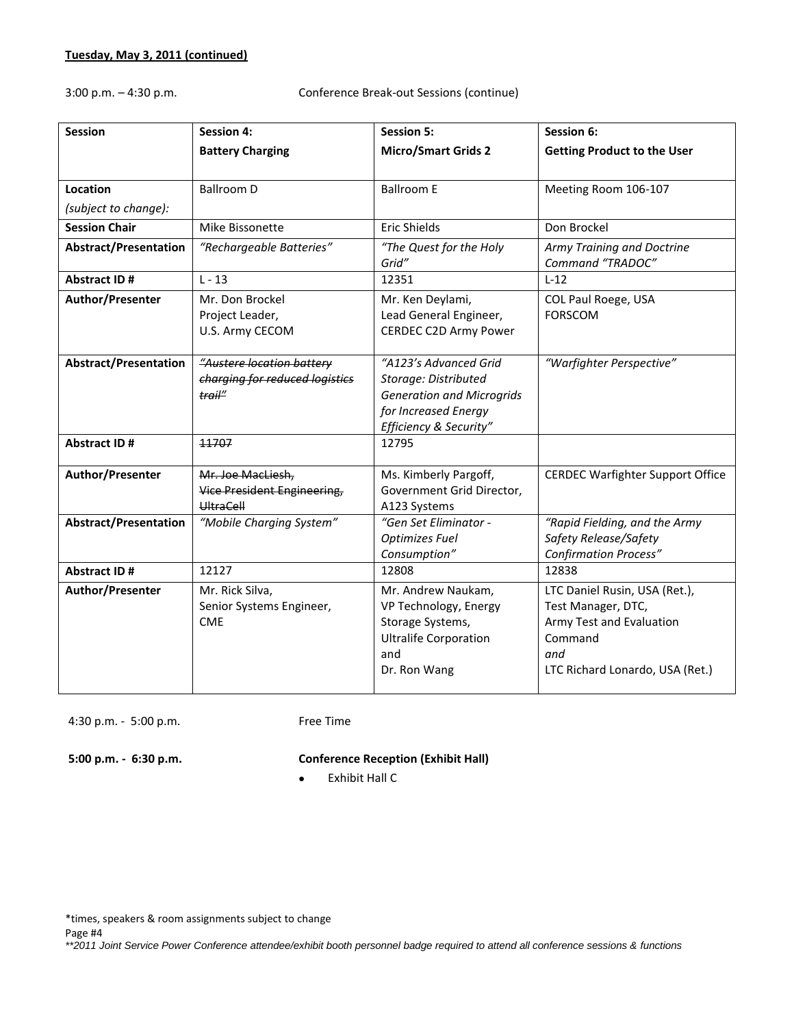3:00 p.m. – 4:30 p.m. Conference Break-out Sessions (continue)

| <b>Session</b>               | <b>Session 4:</b>                                                     | <b>Session 5:</b>                                                                                                                   | Session 6:                                                                                                                           |
|------------------------------|-----------------------------------------------------------------------|-------------------------------------------------------------------------------------------------------------------------------------|--------------------------------------------------------------------------------------------------------------------------------------|
|                              | <b>Battery Charging</b>                                               | <b>Micro/Smart Grids 2</b>                                                                                                          | <b>Getting Product to the User</b>                                                                                                   |
|                              |                                                                       |                                                                                                                                     |                                                                                                                                      |
| <b>Location</b>              | <b>Ballroom D</b>                                                     | <b>Ballroom E</b>                                                                                                                   | Meeting Room 106-107                                                                                                                 |
| (subject to change):         |                                                                       |                                                                                                                                     |                                                                                                                                      |
| <b>Session Chair</b>         | Mike Bissonette                                                       | Eric Shields                                                                                                                        | Don Brockel                                                                                                                          |
| <b>Abstract/Presentation</b> | "Rechargeable Batteries"                                              | "The Quest for the Holy<br>Grid"                                                                                                    | Army Training and Doctrine<br>Command "TRADOC"                                                                                       |
| <b>Abstract ID#</b>          | $L - 13$                                                              | 12351                                                                                                                               | $L-12$                                                                                                                               |
| Author/Presenter             | Mr. Don Brockel<br>Project Leader,<br>U.S. Army CECOM                 | Mr. Ken Deylami,<br>Lead General Engineer,<br><b>CERDEC C2D Army Power</b>                                                          | COL Paul Roege, USA<br><b>FORSCOM</b>                                                                                                |
| <b>Abstract/Presentation</b> | "Austere location battery<br>charging for reduced logistics<br>trail" | "A123's Advanced Grid<br>Storage: Distributed<br><b>Generation and Microgrids</b><br>for Increased Energy<br>Efficiency & Security" | "Warfighter Perspective"                                                                                                             |
| <b>Abstract ID#</b>          | 11707                                                                 | 12795                                                                                                                               |                                                                                                                                      |
| Author/Presenter             | Mr. Joe MacLiesh,<br><b>Vice President Engineering,</b><br>UltraCell  | Ms. Kimberly Pargoff,<br>Government Grid Director,<br>A123 Systems                                                                  | <b>CERDEC Warfighter Support Office</b>                                                                                              |
| <b>Abstract/Presentation</b> | "Mobile Charging System"                                              | "Gen Set Eliminator -<br><b>Optimizes Fuel</b><br>Consumption"                                                                      | "Rapid Fielding, and the Army<br>Safety Release/Safety<br><b>Confirmation Process"</b>                                               |
| <b>Abstract ID#</b>          | 12127                                                                 | 12808                                                                                                                               | 12838                                                                                                                                |
| Author/Presenter             | Mr. Rick Silva,<br>Senior Systems Engineer,<br><b>CME</b>             | Mr. Andrew Naukam,<br>VP Technology, Energy<br>Storage Systems,<br><b>Ultralife Corporation</b><br>and<br>Dr. Ron Wang              | LTC Daniel Rusin, USA (Ret.),<br>Test Manager, DTC,<br>Army Test and Evaluation<br>Command<br>and<br>LTC Richard Lonardo, USA (Ret.) |

4:30 p.m. - 5:00 p.m. Free Time

# **5:00 p.m. - 6:30 p.m. Conference Reception (Exhibit Hall)**

Exhibit Hall C

\*times, speakers & room assignments subject to change

Page #4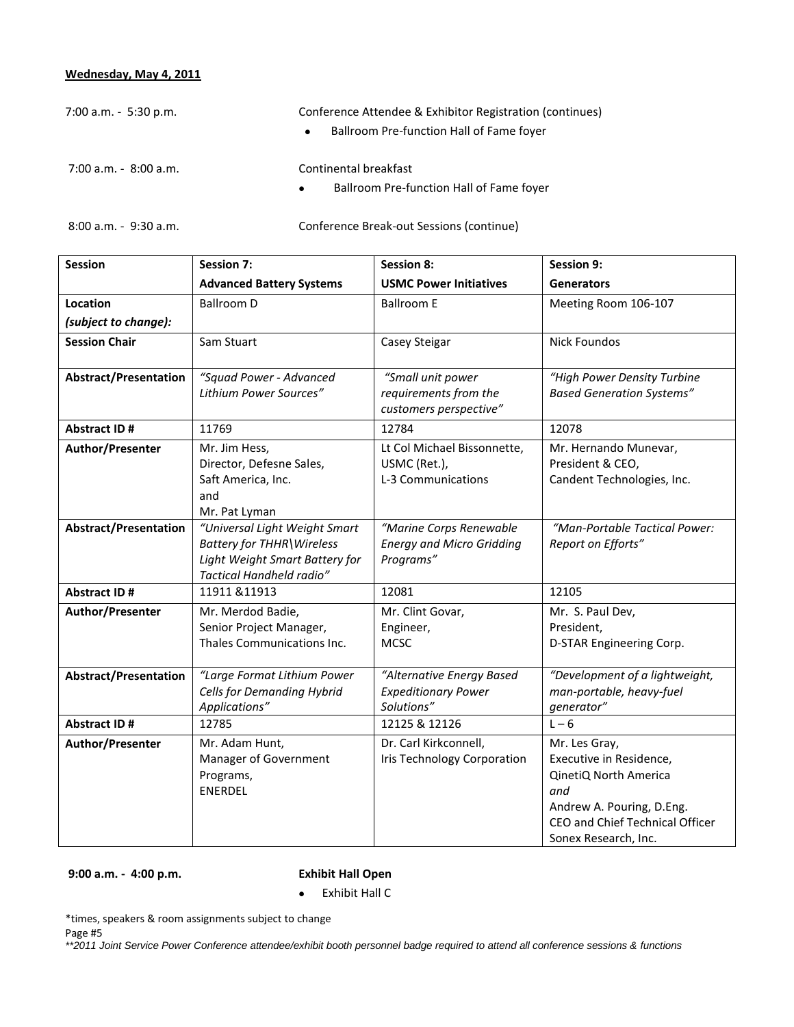# **Wednesday, May 4, 2011**

| $7:00$ a.m. $-5:30$ p.m. | Conference Attendee & Exhibitor Registration (continues)<br>Ballroom Pre-function Hall of Fame fover<br>$\bullet$ |
|--------------------------|-------------------------------------------------------------------------------------------------------------------|
| 7:00 a.m. - 8:00 a.m.    | Continental breakfast                                                                                             |
|                          | Ballroom Pre-function Hall of Fame fover<br>$\bullet$                                                             |

8:00 a.m. - 9:30 a.m. Conference Break-out Sessions (continue)

| <b>Session</b>               | <b>Session 7:</b>                                 | <b>Session 8:</b>                               | Session 9:                       |
|------------------------------|---------------------------------------------------|-------------------------------------------------|----------------------------------|
|                              | <b>Advanced Battery Systems</b>                   | <b>USMC Power Initiatives</b>                   | <b>Generators</b>                |
| Location                     | Ballroom D                                        | <b>Ballroom E</b>                               | Meeting Room 106-107             |
| (subject to change):         |                                                   |                                                 |                                  |
| <b>Session Chair</b>         | Sam Stuart                                        | Casey Steigar                                   | <b>Nick Foundos</b>              |
|                              |                                                   |                                                 |                                  |
| <b>Abstract/Presentation</b> | "Squad Power - Advanced<br>Lithium Power Sources" | "Small unit power                               | "High Power Density Turbine      |
|                              |                                                   | requirements from the<br>customers perspective" | <b>Based Generation Systems"</b> |
| Abstract ID#                 | 11769                                             | 12784                                           | 12078                            |
| Author/Presenter             | Mr. Jim Hess,                                     | Lt Col Michael Bissonnette,                     | Mr. Hernando Munevar,            |
|                              | Director, Defesne Sales,                          | USMC (Ret.),                                    | President & CEO,                 |
|                              | Saft America, Inc.                                | L-3 Communications                              | Candent Technologies, Inc.       |
|                              | and                                               |                                                 |                                  |
| <b>Abstract/Presentation</b> | Mr. Pat Lyman<br>"Universal Light Weight Smart    | "Marine Corps Renewable                         | "Man-Portable Tactical Power:    |
|                              | Battery for THHR\Wireless                         | <b>Energy and Micro Gridding</b>                | Report on Efforts"               |
|                              | Light Weight Smart Battery for                    | Programs"                                       |                                  |
|                              | Tactical Handheld radio"                          |                                                 |                                  |
| <b>Abstract ID#</b>          | 11911 & 11913                                     | 12081                                           | 12105                            |
| Author/Presenter             | Mr. Merdod Badie,                                 | Mr. Clint Govar,                                | Mr. S. Paul Dev,                 |
|                              | Senior Project Manager,                           | Engineer,                                       | President,                       |
|                              | Thales Communications Inc.                        | <b>MCSC</b>                                     | D-STAR Engineering Corp.         |
| <b>Abstract/Presentation</b> | "Large Format Lithium Power                       | "Alternative Energy Based                       | "Development of a lightweight,   |
|                              | <b>Cells for Demanding Hybrid</b>                 | <b>Expeditionary Power</b>                      | man-portable, heavy-fuel         |
|                              | Applications"                                     | Solutions"                                      | generator"                       |
| Abstract ID#                 | 12785                                             | 12125 & 12126                                   | $L - 6$                          |
| Author/Presenter             | Mr. Adam Hunt,                                    | Dr. Carl Kirkconnell,                           | Mr. Les Gray,                    |
|                              | Manager of Government                             | Iris Technology Corporation                     | Executive in Residence,          |
|                              | Programs,<br><b>ENERDEL</b>                       |                                                 | QinetiQ North America            |
|                              |                                                   |                                                 | and<br>Andrew A. Pouring, D.Eng. |
|                              |                                                   |                                                 | CEO and Chief Technical Officer  |
|                              |                                                   |                                                 | Sonex Research, Inc.             |

**9:00 a.m. - 4:00 p.m. Exhibit Hall Open**

Exhibit Hall C

\*times, speakers & room assignments subject to change

Page #5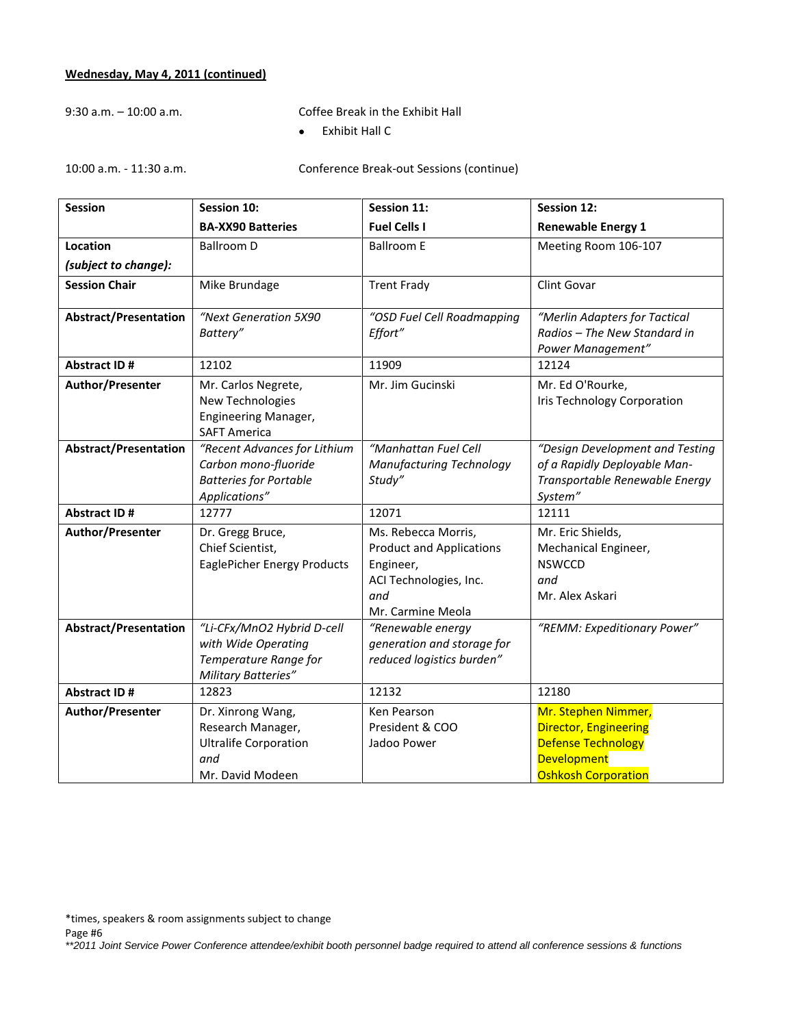# **Wednesday, May 4, 2011 (continued)**

9:30 a.m. – 10:00 a.m. Coffee Break in the Exhibit Hall

Exhibit Hall C

10:00 a.m. - 11:30 a.m. Conference Break-out Sessions (continue)

| <b>Session</b>               | <b>Session 10:</b>                                                                                     | Session 11:                                                                                                               | <b>Session 12:</b>                                                                                                                   |
|------------------------------|--------------------------------------------------------------------------------------------------------|---------------------------------------------------------------------------------------------------------------------------|--------------------------------------------------------------------------------------------------------------------------------------|
|                              | <b>BA-XX90 Batteries</b>                                                                               | <b>Fuel Cells I</b>                                                                                                       | <b>Renewable Energy 1</b>                                                                                                            |
| Location                     | <b>Ballroom D</b>                                                                                      | <b>Ballroom E</b>                                                                                                         | Meeting Room 106-107                                                                                                                 |
| (subject to change):         |                                                                                                        |                                                                                                                           |                                                                                                                                      |
| <b>Session Chair</b>         | Mike Brundage                                                                                          | <b>Trent Frady</b>                                                                                                        | Clint Govar                                                                                                                          |
| <b>Abstract/Presentation</b> | "Next Generation 5X90<br>Battery"                                                                      | "OSD Fuel Cell Roadmapping<br>Effort"                                                                                     | "Merlin Adapters for Tactical<br>Radios - The New Standard in<br>Power Management"                                                   |
| <b>Abstract ID#</b>          | 12102                                                                                                  | 11909                                                                                                                     | 12124                                                                                                                                |
| Author/Presenter             | Mr. Carlos Negrete,<br>New Technologies<br>Engineering Manager,<br><b>SAFT America</b>                 | Mr. Jim Gucinski                                                                                                          | Mr. Ed O'Rourke,<br>Iris Technology Corporation                                                                                      |
| <b>Abstract/Presentation</b> | "Recent Advances for Lithium<br>Carbon mono-fluoride<br><b>Batteries for Portable</b><br>Applications" | "Manhattan Fuel Cell<br>Manufacturing Technology<br>Study"                                                                | "Design Development and Testing<br>of a Rapidly Deployable Man-<br>Transportable Renewable Energy<br>System"                         |
| <b>Abstract ID#</b>          | 12777                                                                                                  | 12071                                                                                                                     | 12111                                                                                                                                |
| Author/Presenter             | Dr. Gregg Bruce,<br>Chief Scientist,<br><b>EaglePicher Energy Products</b>                             | Ms. Rebecca Morris,<br><b>Product and Applications</b><br>Engineer,<br>ACI Technologies, Inc.<br>and<br>Mr. Carmine Meola | Mr. Eric Shields,<br>Mechanical Engineer,<br><b>NSWCCD</b><br>and<br>Mr. Alex Askari                                                 |
| <b>Abstract/Presentation</b> | "Li-CFx/MnO2 Hybrid D-cell<br>with Wide Operating<br>Temperature Range for<br>Military Batteries"      | "Renewable energy<br>generation and storage for<br>reduced logistics burden"                                              | "REMM: Expeditionary Power"                                                                                                          |
| <b>Abstract ID#</b>          | 12823                                                                                                  | 12132                                                                                                                     | 12180                                                                                                                                |
| Author/Presenter             | Dr. Xinrong Wang,<br>Research Manager,<br><b>Ultralife Corporation</b><br>and<br>Mr. David Modeen      | Ken Pearson<br>President & COO<br>Jadoo Power                                                                             | Mr. Stephen Nimmer,<br><b>Director, Engineering</b><br><b>Defense Technology</b><br><b>Development</b><br><b>Oshkosh Corporation</b> |

\*times, speakers & room assignments subject to change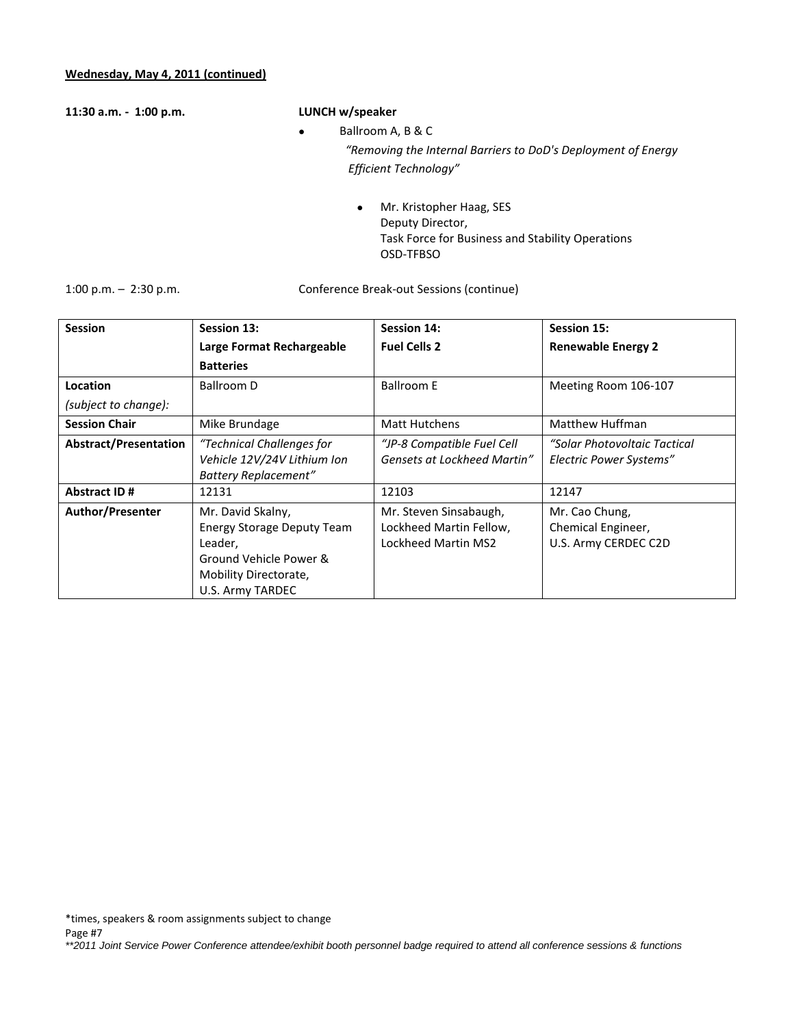**11:30 a.m. - 1:00 p.m. LUNCH w/speaker**

- Ballroom A, B & C *"Removing the Internal Barriers to DoD's Deployment of Energy Efficient Technology"*
	- Mr. Kristopher Haag, SES Deputy Director, Task Force for Business and Stability Operations OSD-TFBSO

1:00 p.m. – 2:30 p.m. Conference Break-out Sessions (continue)

| <b>Session</b>               | Session 13:                                                                                                                              | Session 14:                                                              | Session 15:                                                  |
|------------------------------|------------------------------------------------------------------------------------------------------------------------------------------|--------------------------------------------------------------------------|--------------------------------------------------------------|
|                              | Large Format Rechargeable                                                                                                                | <b>Fuel Cells 2</b>                                                      | <b>Renewable Energy 2</b>                                    |
|                              | <b>Batteries</b>                                                                                                                         |                                                                          |                                                              |
| Location                     | Ballroom D                                                                                                                               | <b>Ballroom E</b>                                                        | Meeting Room 106-107                                         |
| (subject to change):         |                                                                                                                                          |                                                                          |                                                              |
| <b>Session Chair</b>         | Mike Brundage                                                                                                                            | <b>Matt Hutchens</b>                                                     | Matthew Huffman                                              |
| <b>Abstract/Presentation</b> | "Technical Challenges for<br>Vehicle 12V/24V Lithium Ion<br><b>Battery Replacement"</b>                                                  | "JP-8 Compatible Fuel Cell<br>Gensets at Lockheed Martin"                | "Solar Photovoltaic Tactical<br>Electric Power Systems"      |
| <b>Abstract ID#</b>          | 12131                                                                                                                                    | 12103                                                                    | 12147                                                        |
| Author/Presenter             | Mr. David Skalny,<br><b>Energy Storage Deputy Team</b><br>Leader,<br>Ground Vehicle Power &<br>Mobility Directorate,<br>U.S. Army TARDEC | Mr. Steven Sinsabaugh,<br>Lockheed Martin Fellow,<br>Lockheed Martin MS2 | Mr. Cao Chung,<br>Chemical Engineer,<br>U.S. Army CERDEC C2D |

\*times, speakers & room assignments subject to change

Page #7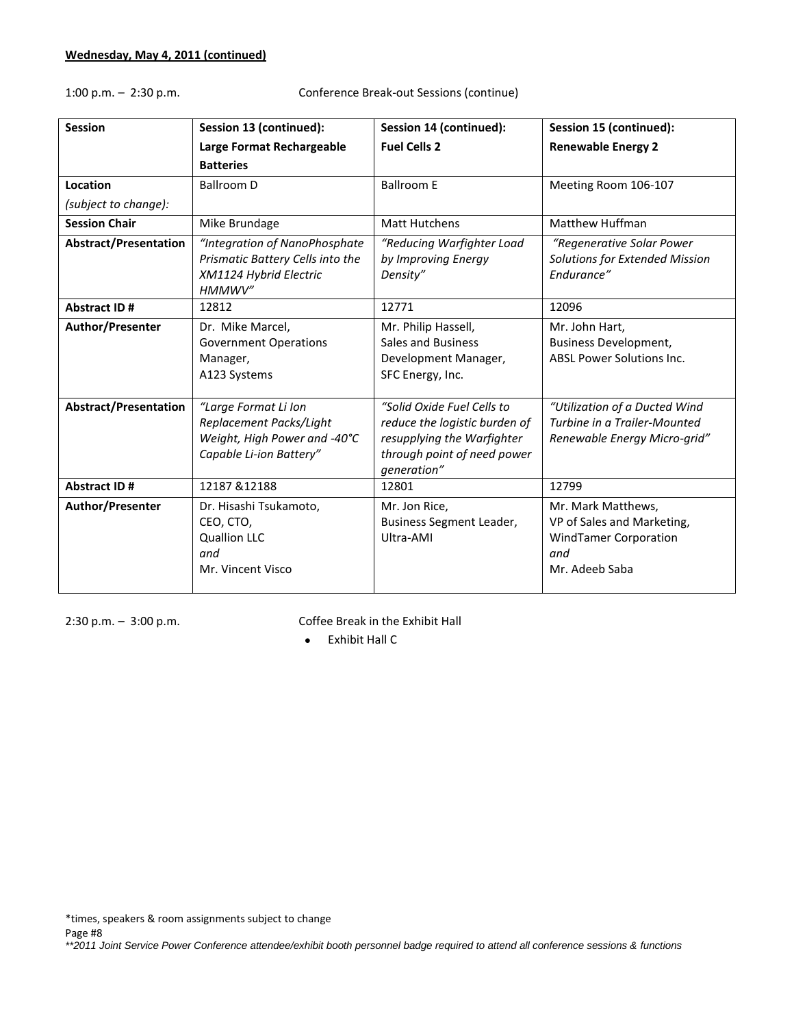1:00 p.m. – 2:30 p.m. Conference Break-out Sessions (continue)

| <b>Session</b>               | Session 13 (continued):                                                                                    | Session 14 (continued):                                                                                                                 | Session 15 (continued):                                                                                   |
|------------------------------|------------------------------------------------------------------------------------------------------------|-----------------------------------------------------------------------------------------------------------------------------------------|-----------------------------------------------------------------------------------------------------------|
|                              | Large Format Rechargeable                                                                                  | <b>Fuel Cells 2</b>                                                                                                                     | <b>Renewable Energy 2</b>                                                                                 |
|                              | <b>Batteries</b>                                                                                           |                                                                                                                                         |                                                                                                           |
| Location                     | <b>Ballroom D</b>                                                                                          | <b>Ballroom E</b>                                                                                                                       | Meeting Room 106-107                                                                                      |
| (subject to change):         |                                                                                                            |                                                                                                                                         |                                                                                                           |
| <b>Session Chair</b>         | Mike Brundage                                                                                              | <b>Matt Hutchens</b>                                                                                                                    | Matthew Huffman                                                                                           |
| <b>Abstract/Presentation</b> | "Integration of NanoPhosphate<br>Prismatic Battery Cells into the<br>XM1124 Hybrid Electric<br>HMMWV"      | "Reducing Warfighter Load<br>by Improving Energy<br>Density"                                                                            | "Regenerative Solar Power<br>Solutions for Extended Mission<br>Endurance"                                 |
| <b>Abstract ID#</b>          | 12812                                                                                                      | 12771                                                                                                                                   | 12096                                                                                                     |
| Author/Presenter             | Dr. Mike Marcel,<br><b>Government Operations</b><br>Manager,<br>A123 Systems                               | Mr. Philip Hassell,<br>Sales and Business<br>Development Manager,<br>SFC Energy, Inc.                                                   | Mr. John Hart,<br><b>Business Development,</b><br><b>ABSL Power Solutions Inc.</b>                        |
| <b>Abstract/Presentation</b> | "Large Format Li Ion<br>Replacement Packs/Light<br>Weight, High Power and -40°C<br>Capable Li-ion Battery" | "Solid Oxide Fuel Cells to<br>reduce the logistic burden of<br>resupplying the Warfighter<br>through point of need power<br>generation" | "Utilization of a Ducted Wind<br>Turbine in a Trailer-Mounted<br>Renewable Energy Micro-grid"             |
| <b>Abstract ID#</b>          | 12187 & 12188                                                                                              | 12801                                                                                                                                   | 12799                                                                                                     |
| Author/Presenter             | Dr. Hisashi Tsukamoto,<br>CEO, CTO,<br><b>Quallion LLC</b><br>and<br>Mr. Vincent Visco                     | Mr. Jon Rice,<br>Business Segment Leader,<br>Ultra-AMI                                                                                  | Mr. Mark Matthews,<br>VP of Sales and Marketing,<br><b>WindTamer Corporation</b><br>and<br>Mr. Adeeb Saba |

2:30 p.m. – 3:00 p.m. Coffee Break in the Exhibit Hall

Exhibit Hall C

\*times, speakers & room assignments subject to change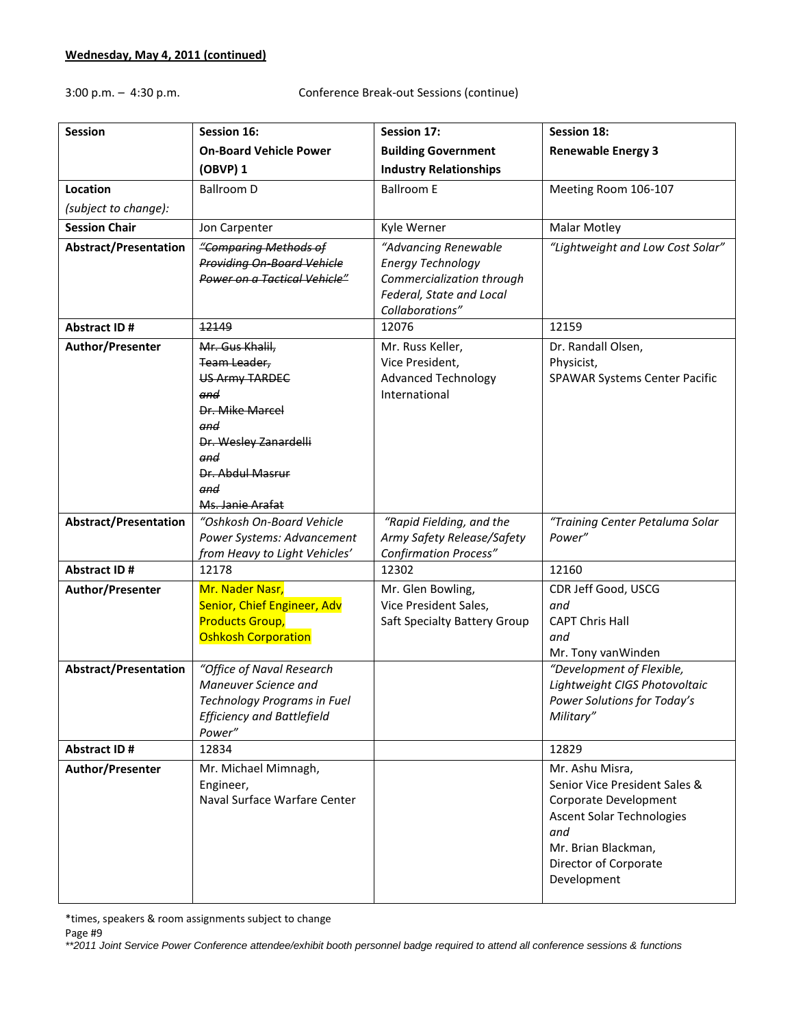3:00 p.m. – 4:30 p.m. Conference Break-out Sessions (continue)

| <b>Session</b>               | Session 16:                                                                                                                                                              | Session 17:                                                                                                                  | <b>Session 18:</b>                                                                                                                                                                  |
|------------------------------|--------------------------------------------------------------------------------------------------------------------------------------------------------------------------|------------------------------------------------------------------------------------------------------------------------------|-------------------------------------------------------------------------------------------------------------------------------------------------------------------------------------|
|                              | <b>On-Board Vehicle Power</b>                                                                                                                                            | <b>Building Government</b>                                                                                                   | <b>Renewable Energy 3</b>                                                                                                                                                           |
|                              | (OBVP) 1                                                                                                                                                                 | <b>Industry Relationships</b>                                                                                                |                                                                                                                                                                                     |
| Location                     | <b>Ballroom D</b>                                                                                                                                                        | <b>Ballroom E</b>                                                                                                            | Meeting Room 106-107                                                                                                                                                                |
| (subject to change):         |                                                                                                                                                                          |                                                                                                                              |                                                                                                                                                                                     |
| <b>Session Chair</b>         | Jon Carpenter                                                                                                                                                            | Kyle Werner                                                                                                                  | <b>Malar Motley</b>                                                                                                                                                                 |
| <b>Abstract/Presentation</b> | "Comparing Methods of<br><b>Providing On-Board Vehicle</b><br>Power on a Tactical Vehicle"                                                                               | "Advancing Renewable<br><b>Energy Technology</b><br>Commercialization through<br>Federal, State and Local<br>Collaborations" | "Lightweight and Low Cost Solar"                                                                                                                                                    |
| <b>Abstract ID#</b>          | 12149                                                                                                                                                                    | 12076                                                                                                                        | 12159                                                                                                                                                                               |
| Author/Presenter             | Mr. Gus Khalil,<br>Team Leader,<br><b>US Army TARDEC</b><br>and<br>Dr. Mike Marcel<br>and<br>Dr. Wesley Zanardelli<br>and<br>Dr. Abdul Masrur<br>and<br>Ms. Janie Arafat | Mr. Russ Keller,<br>Vice President,<br><b>Advanced Technology</b><br>International                                           | Dr. Randall Olsen,<br>Physicist,<br>SPAWAR Systems Center Pacific                                                                                                                   |
| <b>Abstract/Presentation</b> | "Oshkosh On-Board Vehicle<br>Power Systems: Advancement<br>from Heavy to Light Vehicles'                                                                                 | "Rapid Fielding, and the<br>Army Safety Release/Safety<br><b>Confirmation Process"</b>                                       | "Training Center Petaluma Solar<br>Power"                                                                                                                                           |
| <b>Abstract ID#</b>          | 12178                                                                                                                                                                    | 12302                                                                                                                        | 12160                                                                                                                                                                               |
| Author/Presenter             | Mr. Nader Nasr,<br>Senior, Chief Engineer, Adv<br><b>Products Group,</b><br><b>Oshkosh Corporation</b>                                                                   | Mr. Glen Bowling,<br>Vice President Sales,<br>Saft Specialty Battery Group                                                   | CDR Jeff Good, USCG<br>and<br><b>CAPT Chris Hall</b><br>and<br>Mr. Tony vanWinden                                                                                                   |
| <b>Abstract/Presentation</b> | "Office of Naval Research<br>Maneuver Science and<br>Technology Programs in Fuel<br><b>Efficiency and Battlefield</b><br>Power"                                          |                                                                                                                              | "Development of Flexible,<br>Lightweight CIGS Photovoltaic<br>Power Solutions for Today's<br>Military"                                                                              |
| Abstract ID#                 | 12834                                                                                                                                                                    |                                                                                                                              | 12829                                                                                                                                                                               |
| Author/Presenter             | Mr. Michael Mimnagh,<br>Engineer,<br>Naval Surface Warfare Center                                                                                                        |                                                                                                                              | Mr. Ashu Misra,<br>Senior Vice President Sales &<br>Corporate Development<br><b>Ascent Solar Technologies</b><br>and<br>Mr. Brian Blackman,<br>Director of Corporate<br>Development |

\*times, speakers & room assignments subject to change

Page #9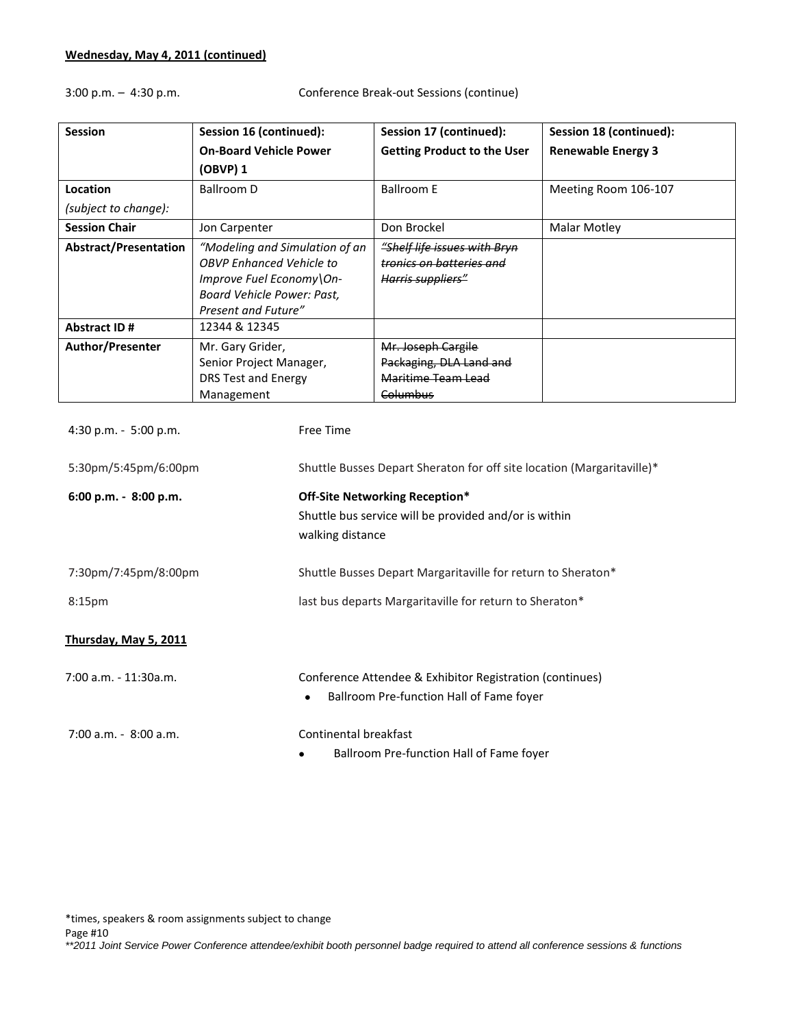3:00 p.m. – 4:30 p.m. Conference Break-out Sessions (continue)

| <b>Session</b>               | Session 16 (continued):                                                                                                                            | Session 17 (continued):                                                       | Session 18 (continued):   |
|------------------------------|----------------------------------------------------------------------------------------------------------------------------------------------------|-------------------------------------------------------------------------------|---------------------------|
|                              | <b>On-Board Vehicle Power</b>                                                                                                                      | <b>Getting Product to the User</b>                                            | <b>Renewable Energy 3</b> |
|                              | (OBVP) 1                                                                                                                                           |                                                                               |                           |
| Location                     | Ballroom D                                                                                                                                         | <b>Ballroom E</b>                                                             | Meeting Room 106-107      |
| (subject to change):         |                                                                                                                                                    |                                                                               |                           |
| <b>Session Chair</b>         | Jon Carpenter                                                                                                                                      | Don Brockel                                                                   | Malar Motley              |
| <b>Abstract/Presentation</b> | "Modeling and Simulation of an<br><b>OBVP Enhanced Vehicle to</b><br>Improve Fuel Economy\On-<br>Board Vehicle Power: Past,<br>Present and Future" | "Shelf life issues with Bryn<br>tronics on batteries and<br>Harris suppliers" |                           |
| <b>Abstract ID#</b>          | 12344 & 12345                                                                                                                                      |                                                                               |                           |
| <b>Author/Presenter</b>      | Mr. Gary Grider,                                                                                                                                   | Mr. Joseph Cargile                                                            |                           |
|                              | Senior Project Manager,<br>DRS Test and Energy<br>Management                                                                                       | Packaging, DLA Land and<br>Maritime Team Lead<br><del>Columbus</del>          |                           |

| $4:30$ p.m. $-5:00$ p.m. | Free Time                                                                                                         |
|--------------------------|-------------------------------------------------------------------------------------------------------------------|
| 5:30pm/5:45pm/6:00pm     | Shuttle Busses Depart Sheraton for off site location (Margaritaville)*                                            |
| 6:00 p.m. - 8:00 p.m.    | Off-Site Networking Reception*<br>Shuttle bus service will be provided and/or is within<br>walking distance       |
| 7:30pm/7:45pm/8:00pm     | Shuttle Busses Depart Margaritaville for return to Sheraton*                                                      |
| 8:15 <sub>pm</sub>       | last bus departs Margaritaville for return to Sheraton*                                                           |
| Thursday, May 5, 2011    |                                                                                                                   |
| 7:00 a.m. - 11:30a.m.    | Conference Attendee & Exhibitor Registration (continues)<br>Ballroom Pre-function Hall of Fame foyer<br>$\bullet$ |
| $7:00$ a.m. $-8:00$ a.m. | Continental breakfast                                                                                             |
|                          | Ballroom Pre-function Hall of Fame foyer                                                                          |

\*times, speakers & room assignments subject to change

Page #10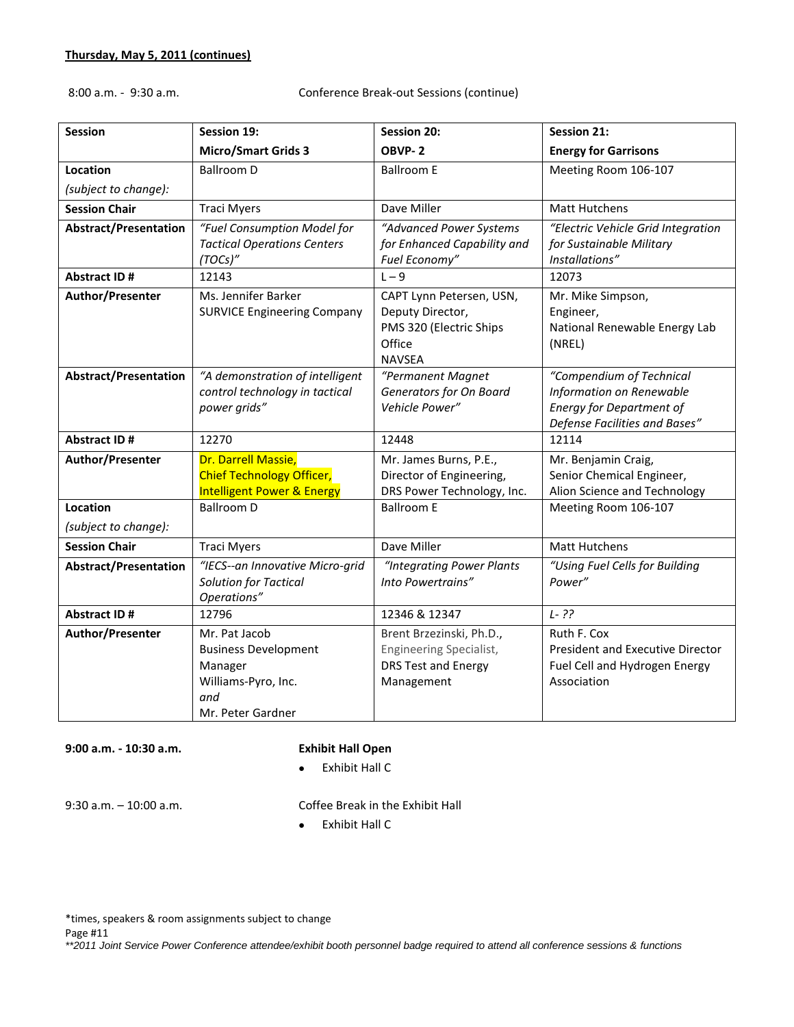8:00 a.m. - 9:30 a.m. Conference Break-out Sessions (continue)

| <b>Session</b>               | Session 19:                                                                                                | <b>Session 20:</b>                                                                                 | <b>Session 21:</b>                                                                                                       |
|------------------------------|------------------------------------------------------------------------------------------------------------|----------------------------------------------------------------------------------------------------|--------------------------------------------------------------------------------------------------------------------------|
|                              | <b>Micro/Smart Grids 3</b>                                                                                 | OBVP-2                                                                                             | <b>Energy for Garrisons</b>                                                                                              |
| Location                     | <b>Ballroom D</b>                                                                                          | <b>Ballroom E</b>                                                                                  | Meeting Room 106-107                                                                                                     |
| (subject to change):         |                                                                                                            |                                                                                                    |                                                                                                                          |
| <b>Session Chair</b>         | <b>Traci Myers</b>                                                                                         | Dave Miller                                                                                        | <b>Matt Hutchens</b>                                                                                                     |
| <b>Abstract/Presentation</b> | "Fuel Consumption Model for<br><b>Tactical Operations Centers</b><br>(TOCs)"                               | "Advanced Power Systems<br>for Enhanced Capability and<br>Fuel Economy"                            | "Electric Vehicle Grid Integration<br>for Sustainable Military<br>Installations"                                         |
| <b>Abstract ID#</b>          | 12143                                                                                                      | $L - 9$                                                                                            | 12073                                                                                                                    |
| Author/Presenter             | Ms. Jennifer Barker<br><b>SURVICE Engineering Company</b>                                                  | CAPT Lynn Petersen, USN,<br>Deputy Director,<br>PMS 320 (Electric Ships<br>Office<br><b>NAVSEA</b> | Mr. Mike Simpson,<br>Engineer,<br>National Renewable Energy Lab<br>(NREL)                                                |
| <b>Abstract/Presentation</b> | "A demonstration of intelligent<br>control technology in tactical<br>power grids"                          | "Permanent Magnet<br>Generators for On Board<br>Vehicle Power"                                     | "Compendium of Technical<br>Information on Renewable<br><b>Energy for Department of</b><br>Defense Facilities and Bases" |
| <b>Abstract ID#</b>          | 12270                                                                                                      | 12448                                                                                              | 12114                                                                                                                    |
| Author/Presenter             | Dr. Darrell Massie,<br><b>Chief Technology Officer,</b><br><b>Intelligent Power &amp; Energy</b>           | Mr. James Burns, P.E.,<br>Director of Engineering,<br>DRS Power Technology, Inc.                   | Mr. Benjamin Craig,<br>Senior Chemical Engineer,<br>Alion Science and Technology                                         |
| Location                     | <b>Ballroom D</b>                                                                                          | <b>Ballroom E</b>                                                                                  | Meeting Room 106-107                                                                                                     |
| (subject to change):         |                                                                                                            |                                                                                                    |                                                                                                                          |
| <b>Session Chair</b>         | <b>Traci Myers</b>                                                                                         | Dave Miller                                                                                        | <b>Matt Hutchens</b>                                                                                                     |
| <b>Abstract/Presentation</b> | "IECS--an Innovative Micro-grid<br>Solution for Tactical<br>Operations"                                    | "Integrating Power Plants<br>Into Powertrains"                                                     | "Using Fuel Cells for Building<br>Power"                                                                                 |
| <b>Abstract ID#</b>          | 12796                                                                                                      | 12346 & 12347                                                                                      | $L - ??$                                                                                                                 |
| Author/Presenter             | Mr. Pat Jacob<br><b>Business Development</b><br>Manager<br>Williams-Pyro, Inc.<br>and<br>Mr. Peter Gardner | Brent Brzezinski, Ph.D.,<br>Engineering Specialist,<br><b>DRS Test and Energy</b><br>Management    | Ruth F. Cox<br>President and Executive Director<br>Fuel Cell and Hydrogen Energy<br>Association                          |

**9:00 a.m. - 10:30 a.m. Exhibit Hall Open**

Exhibit Hall C

9:30 a.m. – 10:00 a.m. Coffee Break in the Exhibit Hall

Exhibit Hall C

\*times, speakers & room assignments subject to change

Page #11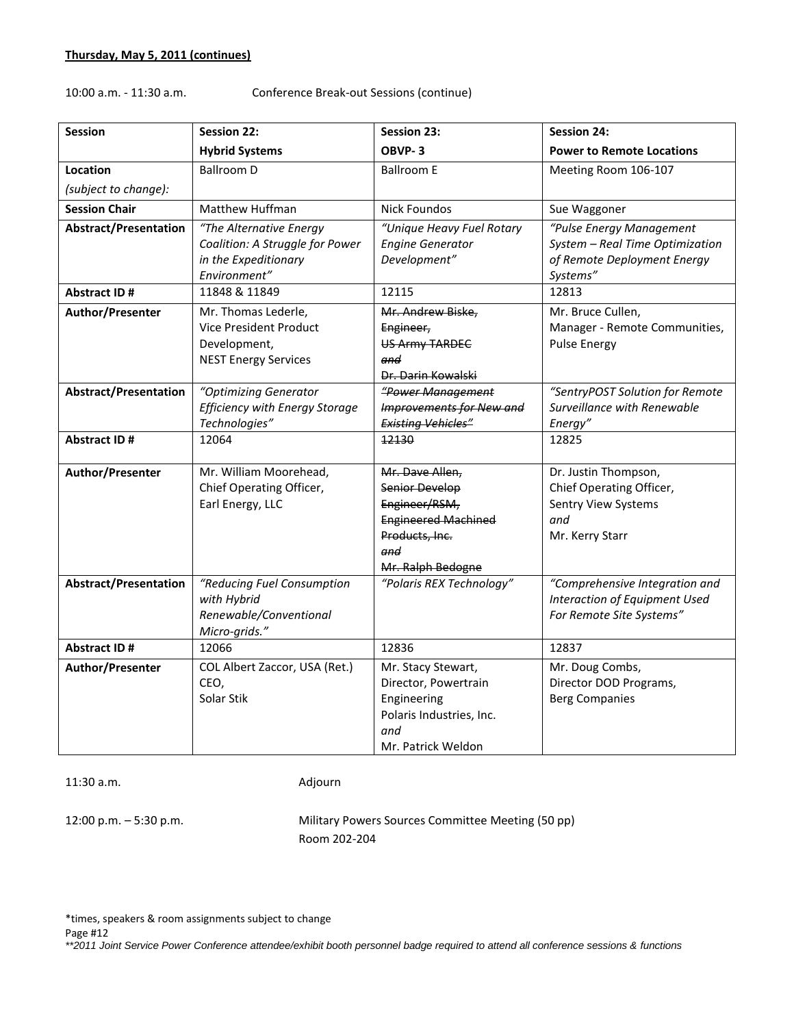# 10:00 a.m. - 11:30 a.m. Conference Break-out Sessions (continue)

| <b>Session</b>               | <b>Session 22:</b>                                                                                 | <b>Session 23:</b>                                                                                                                    | <b>Session 24:</b>                                                                                     |
|------------------------------|----------------------------------------------------------------------------------------------------|---------------------------------------------------------------------------------------------------------------------------------------|--------------------------------------------------------------------------------------------------------|
|                              | <b>Hybrid Systems</b>                                                                              | OBVP-3                                                                                                                                | <b>Power to Remote Locations</b>                                                                       |
| Location                     | <b>Ballroom D</b>                                                                                  | <b>Ballroom E</b>                                                                                                                     | Meeting Room 106-107                                                                                   |
| (subject to change):         |                                                                                                    |                                                                                                                                       |                                                                                                        |
| <b>Session Chair</b>         | <b>Matthew Huffman</b>                                                                             | <b>Nick Foundos</b>                                                                                                                   | Sue Waggoner                                                                                           |
| <b>Abstract/Presentation</b> | "The Alternative Energy<br>Coalition: A Struggle for Power<br>in the Expeditionary<br>Environment" | "Unique Heavy Fuel Rotary<br><b>Engine Generator</b><br>Development"                                                                  | "Pulse Energy Management<br>System - Real Time Optimization<br>of Remote Deployment Energy<br>Systems" |
| <b>Abstract ID#</b>          | 11848 & 11849                                                                                      | 12115                                                                                                                                 | 12813                                                                                                  |
| Author/Presenter             | Mr. Thomas Lederle,<br>Vice President Product<br>Development,<br><b>NEST Energy Services</b>       | Mr. Andrew Biske,<br>Engineer,<br><b>US Army TARDEC</b><br>and<br>Dr. Darin Kowalski                                                  | Mr. Bruce Cullen,<br>Manager - Remote Communities,<br><b>Pulse Energy</b>                              |
| <b>Abstract/Presentation</b> | "Optimizing Generator<br><b>Efficiency with Energy Storage</b><br>Technologies"                    | "Power Management<br><b>Improvements for New and</b><br><b>Existing Vehicles"</b>                                                     | "SentryPOST Solution for Remote<br>Surveillance with Renewable<br>Energy"                              |
| <b>Abstract ID#</b>          | 12064                                                                                              | 12130                                                                                                                                 | 12825                                                                                                  |
| Author/Presenter             | Mr. William Moorehead,<br>Chief Operating Officer,<br>Earl Energy, LLC                             | Mr. Dave Allen,<br><b>Senior Develop</b><br>Engineer/RSM,<br><b>Engineered Machined</b><br>Products, Inc.<br>and<br>Mr. Ralph Bedogne | Dr. Justin Thompson,<br>Chief Operating Officer,<br>Sentry View Systems<br>and<br>Mr. Kerry Starr      |
| <b>Abstract/Presentation</b> | "Reducing Fuel Consumption<br>with Hybrid<br>Renewable/Conventional<br>Micro-grids."               | "Polaris REX Technology"                                                                                                              | "Comprehensive Integration and<br>Interaction of Equipment Used<br>For Remote Site Systems"            |
| <b>Abstract ID#</b>          | 12066                                                                                              | 12836                                                                                                                                 | 12837                                                                                                  |
| Author/Presenter             | COL Albert Zaccor, USA (Ret.)<br>CEO,<br>Solar Stik                                                | Mr. Stacy Stewart,<br>Director, Powertrain<br>Engineering<br>Polaris Industries, Inc.<br>and<br>Mr. Patrick Weldon                    | Mr. Doug Combs,<br>Director DOD Programs,<br><b>Berg Companies</b>                                     |

11:30 a.m. Adjourn

12:00 p.m. – 5:30 p.m. Military Powers Sources Committee Meeting (50 pp) Room 202-204

\*times, speakers & room assignments subject to change

Page #12